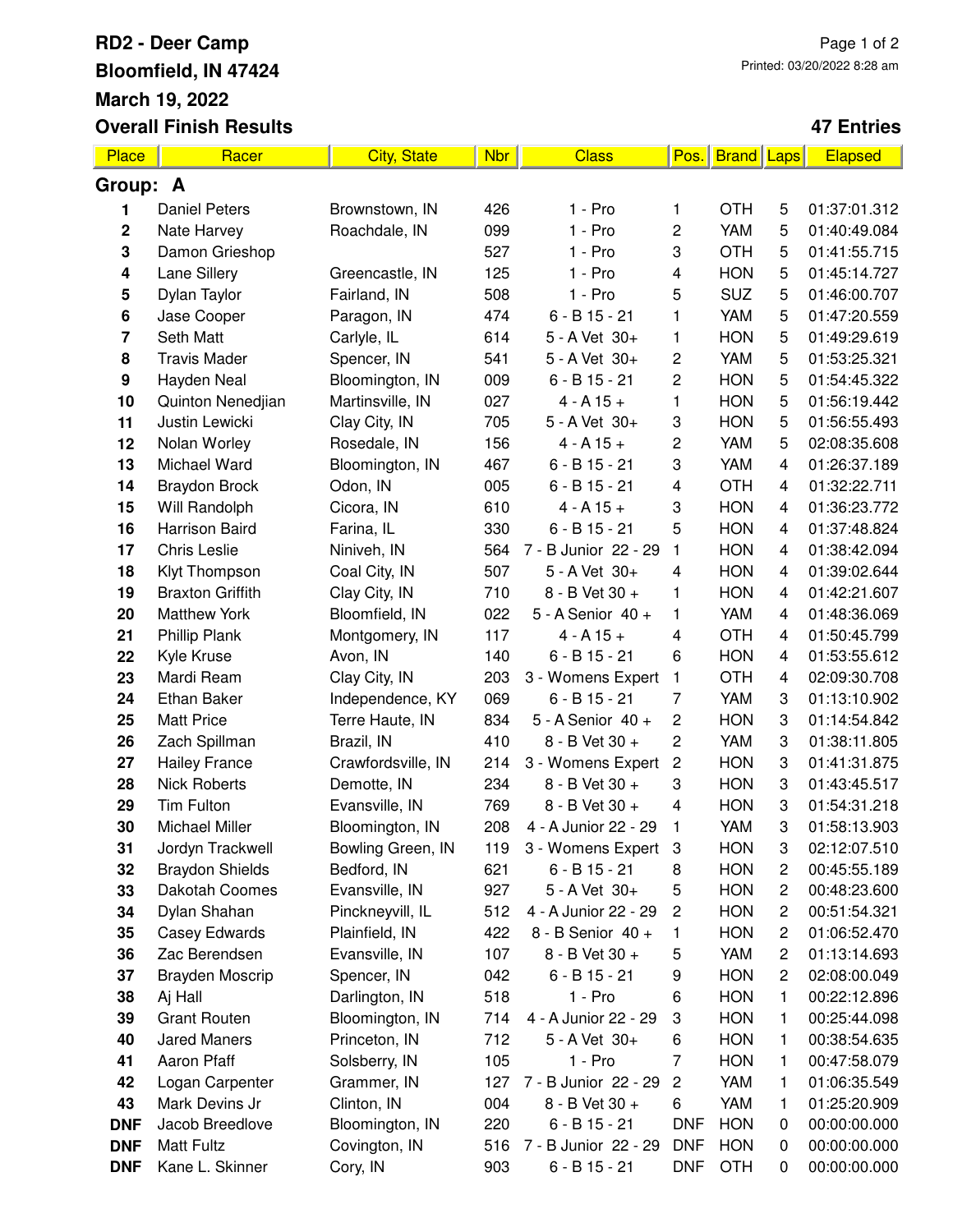## **RD2 - Deer Camp Bloomfield, IN 47424 March 19, 2022 Overall Finish Results**

## **47 Entries**

| Place            | Racer                          | <b>City, State</b>            | <b>Nbr</b> | <b>Class</b>                      | Pos.                    | <b>Brand Laps</b> |                                | Elapsed                      |  |  |
|------------------|--------------------------------|-------------------------------|------------|-----------------------------------|-------------------------|-------------------|--------------------------------|------------------------------|--|--|
| Group: A         |                                |                               |            |                                   |                         |                   |                                |                              |  |  |
| 1                | <b>Daniel Peters</b>           | Brownstown, IN                | 426        | 1 - Pro                           | 1                       | <b>OTH</b>        | 5                              | 01:37:01.312                 |  |  |
| $\mathbf 2$      | Nate Harvey                    | Roachdale, IN                 | 099        | $1 - Pro$                         | 2                       | <b>YAM</b>        | 5                              | 01:40:49.084                 |  |  |
| 3                | Damon Grieshop                 |                               | 527        | $1 - Pro$                         | 3                       | <b>OTH</b>        | 5                              | 01:41:55.715                 |  |  |
| 4                | Lane Sillery                   | Greencastle, IN               | 125        | 1 - Pro                           | 4                       | <b>HON</b>        | 5                              | 01:45:14.727                 |  |  |
| 5                | Dylan Taylor                   | Fairland, IN                  | 508        | $1 - Pro$                         | 5                       | <b>SUZ</b>        | 5                              | 01:46:00.707                 |  |  |
| 6                | Jase Cooper                    | Paragon, IN                   | 474        | $6 - B$ 15 - 21                   | 1                       | <b>YAM</b>        | 5                              | 01:47:20.559                 |  |  |
| 7                | <b>Seth Matt</b>               | Carlyle, IL                   | 614        | 5 - A Vet 30+                     | 1                       | <b>HON</b>        | 5                              | 01:49:29.619                 |  |  |
| 8                | <b>Travis Mader</b>            | Spencer, IN                   | 541        | 5 - A Vet 30+                     | 2                       | <b>YAM</b>        | 5                              | 01:53:25.321                 |  |  |
| $\boldsymbol{9}$ | Hayden Neal                    | Bloomington, IN               | 009        | $6 - B$ 15 - 21                   | 2                       | <b>HON</b>        | 5                              | 01:54:45.322                 |  |  |
| 10               | Quinton Nenedjian              | Martinsville, IN              | 027        | $4 - A 15 +$                      | 1                       | <b>HON</b>        | 5                              | 01:56:19.442                 |  |  |
| 11               | Justin Lewicki                 | Clay City, IN                 | 705        | 5 - A Vet 30+                     | 3                       | <b>HON</b>        | 5                              | 01:56:55.493                 |  |  |
| 12               | Nolan Worley                   | Rosedale, IN                  | 156        | $4 - A 15 +$                      | 2                       | <b>YAM</b>        | 5                              | 02:08:35.608                 |  |  |
| 13               | Michael Ward                   | Bloomington, IN               | 467        | $6 - B$ 15 - 21                   | 3                       | <b>YAM</b>        | $\overline{4}$                 | 01:26:37.189                 |  |  |
| 14               | <b>Braydon Brock</b>           | Odon, IN                      | 005        | $6 - B$ 15 - 21                   | 4                       | <b>OTH</b>        | 4                              | 01:32:22.711                 |  |  |
| 15               | Will Randolph                  | Cicora, IN                    | 610        | $4 - A 15 +$                      | 3                       | <b>HON</b>        | 4                              | 01:36:23.772                 |  |  |
| 16               | <b>Harrison Baird</b>          | Farina, IL                    | 330        | $6 - B$ 15 - 21                   | 5                       | <b>HON</b>        | 4                              | 01:37:48.824                 |  |  |
| 17               | <b>Chris Leslie</b>            | Niniveh, IN                   | 564        | 7 - B Junior 22 - 29              | 1                       | <b>HON</b>        | 4                              | 01:38:42.094                 |  |  |
| 18               | Klyt Thompson                  | Coal City, IN                 | 507        | 5 - A Vet 30+                     | 4                       | <b>HON</b>        | 4                              | 01:39:02.644                 |  |  |
| 19               | <b>Braxton Griffith</b>        | Clay City, IN                 | 710        | 8 - B Vet 30 +                    | 1                       | <b>HON</b>        | 4                              | 01:42:21.607                 |  |  |
| 20               | <b>Matthew York</b>            | Bloomfield, IN                | 022        | 5 - A Senior 40 +                 | 1                       | <b>YAM</b>        | 4                              | 01:48:36.069                 |  |  |
| 21               | <b>Phillip Plank</b>           | Montgomery, IN                | 117        | $4 - A 15 +$                      | 4                       | <b>OTH</b>        | 4                              | 01:50:45.799                 |  |  |
| 22               | Kyle Kruse                     | Avon, IN                      | 140        | $6 - B$ 15 - 21                   | 6                       | <b>HON</b>        | 4                              | 01:53:55.612                 |  |  |
| 23               | Mardi Ream                     | Clay City, IN                 | 203        | 3 - Womens Expert                 | 1                       | <b>OTH</b>        | 4                              | 02:09:30.708                 |  |  |
| 24               | Ethan Baker                    | Independence, KY              | 069        | $6 - B$ 15 - 21                   | 7                       | <b>YAM</b>        | 3                              | 01:13:10.902                 |  |  |
| 25               | <b>Matt Price</b>              | Terre Haute, IN               | 834        | 5 - A Senior 40 +                 | 2                       | <b>HON</b>        | 3                              | 01:14:54.842                 |  |  |
| 26               | Zach Spillman                  | Brazil, IN                    | 410        | 8 - B Vet 30 +                    | 2                       | <b>YAM</b>        | 3                              | 01:38:11.805                 |  |  |
| 27               | <b>Hailey France</b>           | Crawfordsville, IN            | 214        | 3 - Womens Expert                 | $\mathbf 2$             | <b>HON</b>        | 3                              | 01:41:31.875                 |  |  |
| 28               | <b>Nick Roberts</b>            | Demotte, IN                   | 234        | 8 - B Vet 30 +                    | 3                       | <b>HON</b>        | 3                              | 01:43:45.517                 |  |  |
| 29               | <b>Tim Fulton</b>              | Evansville, IN                | 769        | 8 - B Vet 30 +                    | 4                       | <b>HON</b>        | 3                              | 01:54:31.218                 |  |  |
| 30               | Michael Miller                 | Bloomington, IN               | 208        | 4 - A Junior 22 - 29              | 1                       | <b>YAM</b>        | 3                              | 01:58:13.903                 |  |  |
| 31               | Jordyn Trackwell               | Bowling Green, IN             | 119        | 3 - Womens Expert                 | 3                       | <b>HON</b>        | 3                              | 02:12:07.510                 |  |  |
| 32               | <b>Braydon Shields</b>         | Bedford, IN                   | 621        | $6 - B$ 15 - 21                   | 8                       | <b>HON</b>        | $\overline{c}$                 | 00:45:55.189                 |  |  |
| 33               | Dakotah Coomes                 | Evansville, IN                | 927        | 5 - A Vet 30+                     | 5                       | <b>HON</b>        | $\overline{c}$                 | 00:48:23.600                 |  |  |
| 34               | Dylan Shahan                   | Pinckneyvill, IL              | 512        | 4 - A Junior 22 - 29              | $\overline{\mathbf{c}}$ | <b>HON</b>        | $\overline{c}$                 | 00:51:54.321                 |  |  |
| 35               | Casey Edwards<br>Zac Berendsen | Plainfield, IN                | 422<br>107 | 8 - B Senior 40 +                 | 1                       | <b>HON</b><br>YAM | $\mathbf{2}$<br>$\overline{c}$ | 01:06:52.470<br>01:13:14.693 |  |  |
| 36<br>37         | <b>Brayden Moscrip</b>         | Evansville, IN                | 042        | 8 - B Vet 30 +<br>$6 - B$ 15 - 21 | 5<br>9                  | <b>HON</b>        | $\overline{c}$                 | 02:08:00.049                 |  |  |
| 38               | Aj Hall                        | Spencer, IN<br>Darlington, IN | 518        | $1 - Pro$                         | 6                       | <b>HON</b>        | 1                              | 00:22:12.896                 |  |  |
| 39               | <b>Grant Routen</b>            | Bloomington, IN               | 714        | 4 - A Junior 22 - 29              | 3                       | <b>HON</b>        | 1                              | 00:25:44.098                 |  |  |
| 40               | <b>Jared Maners</b>            | Princeton, IN                 | 712        | 5 - A Vet 30+                     | 6                       | <b>HON</b>        | 1                              | 00:38:54.635                 |  |  |
| 41               | Aaron Pfaff                    | Solsberry, IN                 | 105        | 1 - Pro                           | 7                       | <b>HON</b>        | 1                              | 00:47:58.079                 |  |  |
| 42               | Logan Carpenter                | Grammer, IN                   | 127        | 7 - B Junior 22 - 29              | $\overline{\mathbf{c}}$ | YAM               | 1                              | 01:06:35.549                 |  |  |
| 43               | Mark Devins Jr                 | Clinton, IN                   | 004        | 8 - B Vet 30 +                    | 6                       | <b>YAM</b>        | 1                              | 01:25:20.909                 |  |  |
| <b>DNF</b>       | Jacob Breedlove                | Bloomington, IN               | 220        | 6 - B 15 - 21                     | <b>DNF</b>              | <b>HON</b>        | 0                              | 00:00:00.000                 |  |  |
| <b>DNF</b>       | <b>Matt Fultz</b>              | Covington, IN                 | 516        | 7 - B Junior 22 - 29              | <b>DNF</b>              | <b>HON</b>        | 0                              | 00:00:00.000                 |  |  |
| <b>DNF</b>       | Kane L. Skinner                | Cory, IN                      | 903        | $6 - B$ 15 - 21                   | <b>DNF</b>              | <b>OTH</b>        | 0                              | 00:00:00.000                 |  |  |